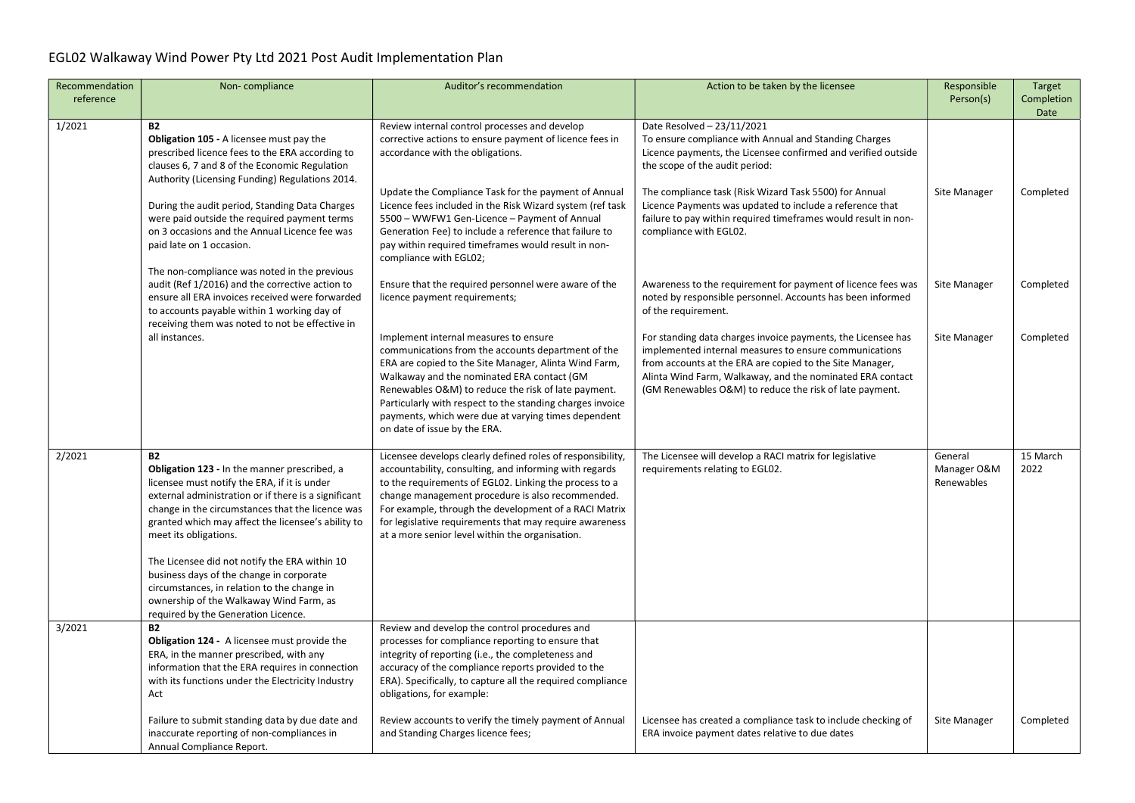| Recommendation | Non-compliance                                                                                                                                                                                                                                                                                                                                                                                                                                                                                                                     | Auditor's recommendation                                                                                                                                                                                                                                                                                                                                                                                      | Action to be taken by the licensee                                                                                                                                                                                                                                                                         | Responsible                          | Target             |
|----------------|------------------------------------------------------------------------------------------------------------------------------------------------------------------------------------------------------------------------------------------------------------------------------------------------------------------------------------------------------------------------------------------------------------------------------------------------------------------------------------------------------------------------------------|---------------------------------------------------------------------------------------------------------------------------------------------------------------------------------------------------------------------------------------------------------------------------------------------------------------------------------------------------------------------------------------------------------------|------------------------------------------------------------------------------------------------------------------------------------------------------------------------------------------------------------------------------------------------------------------------------------------------------------|--------------------------------------|--------------------|
| reference      |                                                                                                                                                                                                                                                                                                                                                                                                                                                                                                                                    |                                                                                                                                                                                                                                                                                                                                                                                                               |                                                                                                                                                                                                                                                                                                            | Person(s)                            | Completion<br>Date |
| 1/2021         | <b>B2</b><br><b>Obligation 105 - A licensee must pay the</b><br>prescribed licence fees to the ERA according to<br>clauses 6, 7 and 8 of the Economic Regulation<br>Authority (Licensing Funding) Regulations 2014.                                                                                                                                                                                                                                                                                                                | Review internal control processes and develop<br>corrective actions to ensure payment of licence fees in<br>accordance with the obligations.<br>Update the Compliance Task for the payment of Annual                                                                                                                                                                                                          | Date Resolved - 23/11/2021<br>To ensure compliance with Annual and Standing Charges<br>Licence payments, the Licensee confirmed and verified outside<br>the scope of the audit period:<br>The compliance task (Risk Wizard Task 5500) for Annual                                                           | Site Manager                         | Completed          |
|                | During the audit period, Standing Data Charges<br>were paid outside the required payment terms<br>on 3 occasions and the Annual Licence fee was<br>paid late on 1 occasion.<br>The non-compliance was noted in the previous                                                                                                                                                                                                                                                                                                        | Licence fees included in the Risk Wizard system (ref task<br>5500 - WWFW1 Gen-Licence - Payment of Annual<br>Generation Fee) to include a reference that failure to<br>pay within required timeframes would result in non-<br>compliance with EGL02;                                                                                                                                                          | Licence Payments was updated to include a reference that<br>failure to pay within required timeframes would result in non-<br>compliance with EGL02.                                                                                                                                                       |                                      |                    |
|                | audit (Ref 1/2016) and the corrective action to<br>ensure all ERA invoices received were forwarded<br>to accounts payable within 1 working day of<br>receiving them was noted to not be effective in                                                                                                                                                                                                                                                                                                                               | Ensure that the required personnel were aware of the<br>licence payment requirements;                                                                                                                                                                                                                                                                                                                         | Awareness to the requirement for payment of licence fees was<br>noted by responsible personnel. Accounts has been informed<br>of the requirement.                                                                                                                                                          | Site Manager                         | Completed          |
|                | all instances.                                                                                                                                                                                                                                                                                                                                                                                                                                                                                                                     | Implement internal measures to ensure<br>communications from the accounts department of the<br>ERA are copied to the Site Manager, Alinta Wind Farm,<br>Walkaway and the nominated ERA contact (GM<br>Renewables O&M) to reduce the risk of late payment.<br>Particularly with respect to the standing charges invoice<br>payments, which were due at varying times dependent<br>on date of issue by the ERA. | For standing data charges invoice payments, the Licensee has<br>implemented internal measures to ensure communications<br>from accounts at the ERA are copied to the Site Manager,<br>Alinta Wind Farm, Walkaway, and the nominated ERA contact<br>(GM Renewables O&M) to reduce the risk of late payment. | Site Manager                         | Completed          |
| 2/2021         | <b>B2</b><br>Obligation 123 - In the manner prescribed, a<br>licensee must notify the ERA, if it is under<br>external administration or if there is a significant<br>change in the circumstances that the licence was<br>granted which may affect the licensee's ability to<br>meet its obligations.<br>The Licensee did not notify the ERA within 10<br>business days of the change in corporate<br>circumstances, in relation to the change in<br>ownership of the Walkaway Wind Farm, as<br>required by the Generation Licence. | Licensee develops clearly defined roles of responsibility,<br>accountability, consulting, and informing with regards<br>to the requirements of EGL02. Linking the process to a<br>change management procedure is also recommended.<br>For example, through the development of a RACI Matrix<br>for legislative requirements that may require awareness<br>at a more senior level within the organisation.     | The Licensee will develop a RACI matrix for legislative<br>requirements relating to EGL02.                                                                                                                                                                                                                 | General<br>Manager O&M<br>Renewables | 15 March<br>2022   |
| 3/2021         | <b>B2</b><br><b>Obligation 124 - A licensee must provide the</b><br>ERA, in the manner prescribed, with any<br>information that the ERA requires in connection<br>with its functions under the Electricity Industry<br>Act                                                                                                                                                                                                                                                                                                         | Review and develop the control procedures and<br>processes for compliance reporting to ensure that<br>integrity of reporting (i.e., the completeness and<br>accuracy of the compliance reports provided to the<br>ERA). Specifically, to capture all the required compliance<br>obligations, for example:                                                                                                     |                                                                                                                                                                                                                                                                                                            |                                      |                    |
|                | Failure to submit standing data by due date and<br>inaccurate reporting of non-compliances in<br>Annual Compliance Report.                                                                                                                                                                                                                                                                                                                                                                                                         | Review accounts to verify the timely payment of Annual<br>and Standing Charges licence fees;                                                                                                                                                                                                                                                                                                                  | Licensee has created a compliance task to include checking of<br>ERA invoice payment dates relative to due dates                                                                                                                                                                                           | Site Manager                         | Completed          |